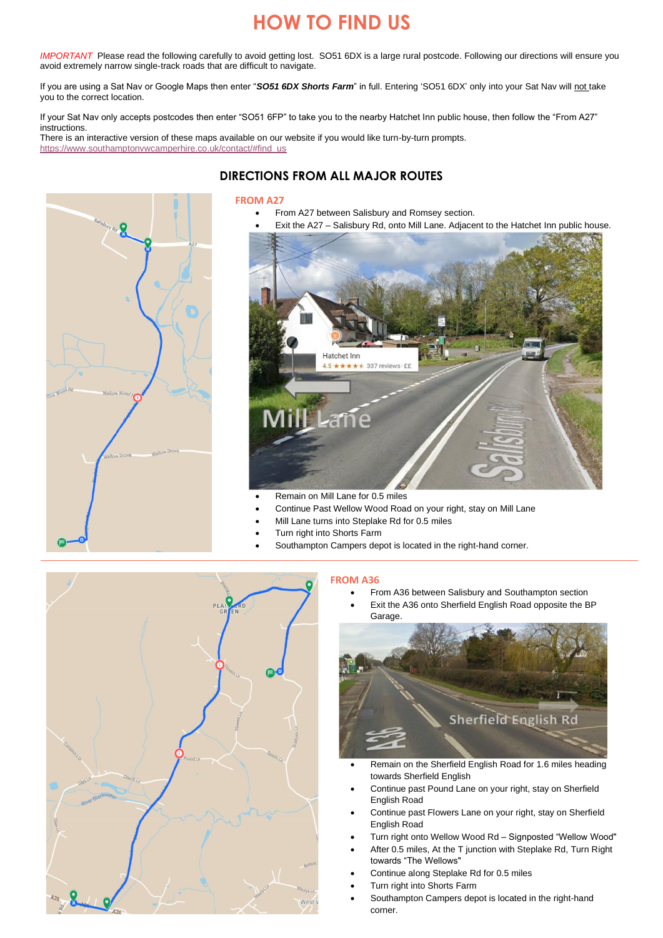# **HOW TO FIND US**

*IMPORTANT* Please read the following carefully to avoid getting lost. SO51 6DX is a large rural postcode. Following our directions will ensure you avoid extremely narrow single-track roads that are difficult to navigate.

If you are using a Sat Nav or Google Maps then enter "*SO51 6DX Shorts Farm*" in full. Entering 'SO51 6DX' only into your Sat Nav will not take you to the correct location.

If your Sat Nav only accepts postcodes then enter "SO51 6FP" to take you to the nearby Hatchet Inn public house, then follow the "From A27" instructions.

There is an interactive version of these maps available on our website if you would like turn-by-turn prompts. [https://www.southamptonvwcamperhire.co.uk/contact/#find\\_us](https://www.southamptonvwcamperhire.co.uk/contact/#find_us)

# **DIRECTIONS FROM ALL MAJOR ROUTES**

### **FROM A27**

- From A27 between Salisbury and Romsey section.
- Exit the A27 Salisbury Rd, onto Mill Lane. Adjacent to the Hatchet Inn public house.



- Remain on Mill Lane for 0.5 miles
- Continue Past Wellow Wood Road on your right, stay on Mill Lane
- Mill Lane turns into Steplake Rd for 0.5 miles
- Turn right into Shorts Farm
	- Southampton Campers depot is located in the right-hand corner.



## **FROM A36**

- From A36 between Salisbury and Southampton section
- Exit the A36 onto Sherfield English Road opposite the BP Garage.



- Remain on the Sherfield English Road for 1.6 miles heading towards Sherfield English
- Continue past Pound Lane on your right, stay on Sherfield English Road
- Continue past Flowers Lane on your right, stay on Sherfield English Road
- Turn right onto Wellow Wood Rd Signposted "Wellow Wood"
- After 0.5 miles, At the T junction with Steplake Rd, Turn Right towards "The Wellows"
- Continue along Steplake Rd for 0.5 miles
- Turn right into Shorts Farm
- Southampton Campers depot is located in the right-hand corner.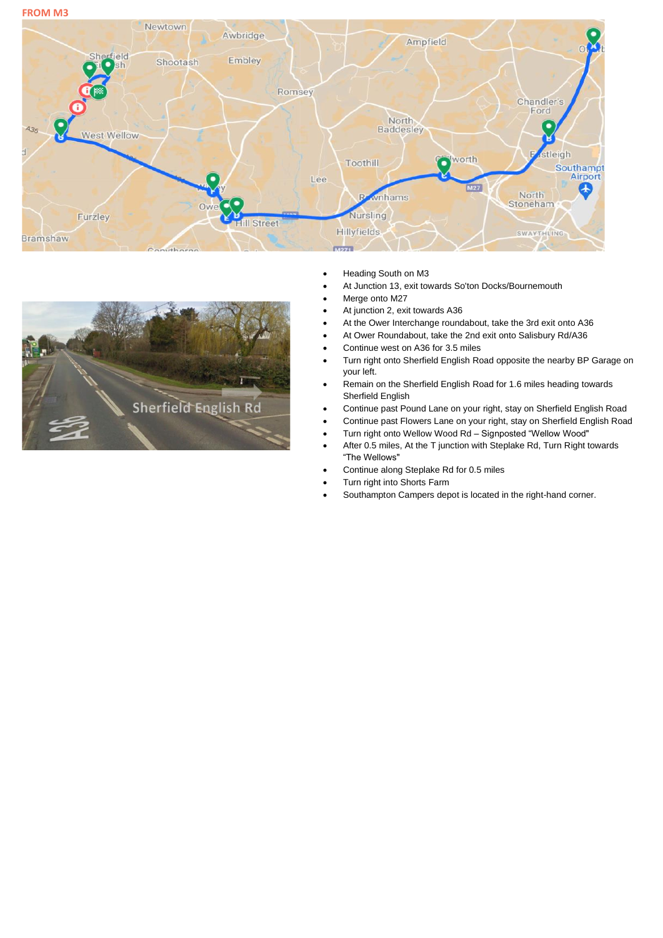**FROM M3**





- Heading South on M3
- At Junction 13, exit towards So'ton Docks/Bournemouth
- Merge onto M27
	- At junction 2, exit towards A36
- At the Ower Interchange roundabout, take the 3rd exit onto A36
- At Ower Roundabout, take the 2nd exit onto Salisbury Rd/A36
- Continue west on A36 for 3.5 miles
- Turn right onto Sherfield English Road opposite the nearby BP Garage on your left.
- Remain on the Sherfield English Road for 1.6 miles heading towards Sherfield English
- Continue past Pound Lane on your right, stay on Sherfield English Road
- Continue past Flowers Lane on your right, stay on Sherfield English Road
- Turn right onto Wellow Wood Rd Signposted "Wellow Wood"
- After 0.5 miles, At the T junction with Steplake Rd, Turn Right towards "The Wellows"
- Continue along Steplake Rd for 0.5 miles
- Turn right into Shorts Farm
- Southampton Campers depot is located in the right-hand corner.